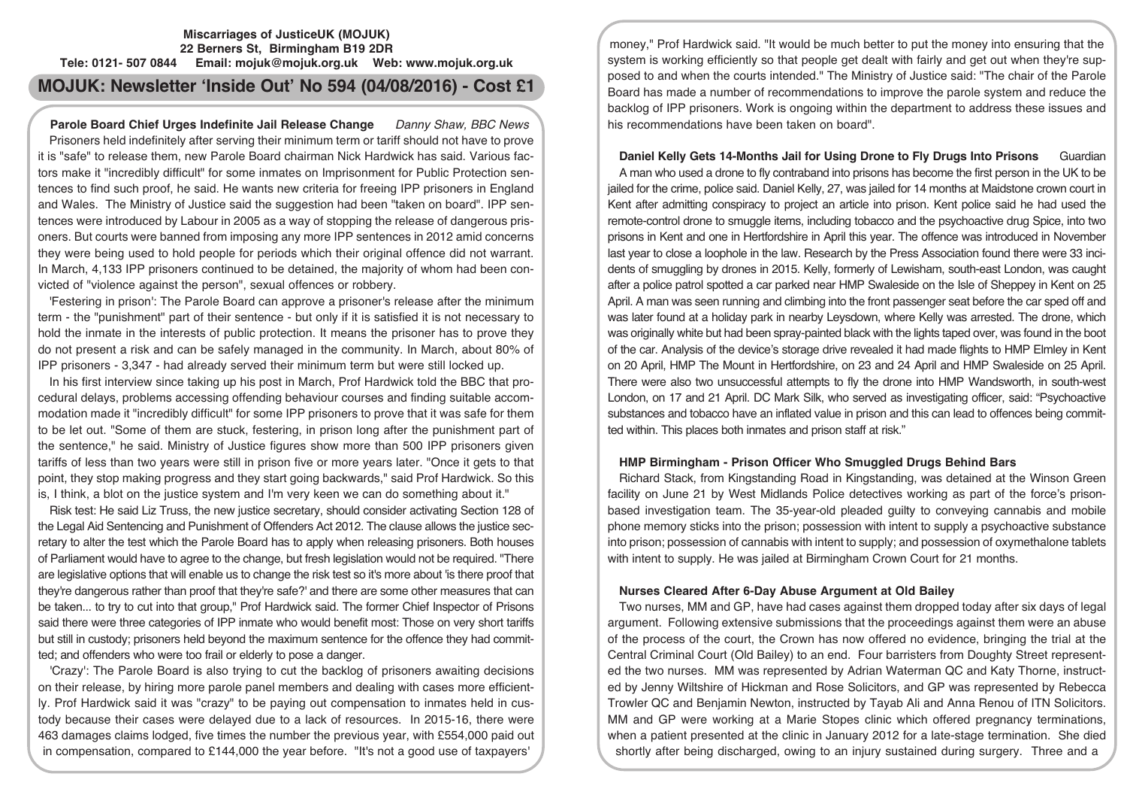## **Miscarriages of JusticeUK (MOJUK) 22 Berners St, Birmingham B19 2DR Tele: 0121- 507 0844 Email: mojuk@mojuk.org.uk Web: www.mojuk.org.uk**

# **MOJUK: Newsletter 'Inside Out' No 594 (04/08/2016) - Cost £1**

**Parole Board Chief Urges Indefinite Jail Release Change** *Danny Shaw, BBC News* Prisoners held indefinitely after serving their minimum term or tariff should not have to prove it is "safe" to release them, new Parole Board chairman Nick Hardwick has said. Various factors make it "incredibly difficult" for some inmates on Imprisonment for Public Protection sentences to find such proof, he said. He wants new criteria for freeing IPP prisoners in England and Wales. The Ministry of Justice said the suggestion had been "taken on board". IPP sentences were introduced by Labour in 2005 as a way of stopping the release of dangerous prisoners. But courts were banned from imposing any more IPP sentences in 2012 amid concerns they were being used to hold people for periods which their original offence did not warrant. In March, 4,133 IPP prisoners continued to be detained, the majority of whom had been convicted of "violence against the person", sexual offences or robbery.

'Festering in prison': The Parole Board can approve a prisoner's release after the minimum term - the "punishment" part of their sentence - but only if it is satisfied it is not necessary to hold the inmate in the interests of public protection. It means the prisoner has to prove they do not present a risk and can be safely managed in the community. In March, about 80% of IPP prisoners - 3,347 - had already served their minimum term but were still locked up.

In his first interview since taking up his post in March, Prof Hardwick told the BBC that procedural delays, problems accessing offending behaviour courses and finding suitable accommodation made it "incredibly difficult" for some IPP prisoners to prove that it was safe for them to be let out. "Some of them are stuck, festering, in prison long after the punishment part of the sentence," he said. Ministry of Justice figures show more than 500 IPP prisoners given tariffs of less than two years were still in prison five or more years later. "Once it gets to that point, they stop making progress and they start going backwards," said Prof Hardwick. So this is, I think, a blot on the justice system and I'm very keen we can do something about it."

Risk test: He said Liz Truss, the new justice secretary, should consider activating Section 128 of the Legal Aid Sentencing and Punishment of Offenders Act 2012. The clause allows the justice secretary to alter the test which the Parole Board has to apply when releasing prisoners. Both houses of Parliament would have to agree to the change, but fresh legislation would not be required. "There are legislative options that will enable us to change the risk test so it's more about 'is there proof that they're dangerous rather than proof that they're safe?' and there are some other measures that can be taken... to try to cut into that group," Prof Hardwick said. The former Chief Inspector of Prisons said there were three categories of IPP inmate who would benefit most: Those on very short tariffs but still in custody; prisoners held beyond the maximum sentence for the offence they had committed; and offenders who were too frail or elderly to pose a danger.

'Crazy': The Parole Board is also trying to cut the backlog of prisoners awaiting decisions on their release, by hiring more parole panel members and dealing with cases more efficiently. Prof Hardwick said it was "crazy" to be paying out compensation to inmates held in custody because their cases were delayed due to a lack of resources. In 2015-16, there were 463 damages claims lodged, five times the number the previous year, with £554,000 paid out in compensation, compared to £144,000 the year before. "It's not a good use of taxpayers'

money," Prof Hardwick said. "It would be much better to put the money into ensuring that the system is working efficiently so that people get dealt with fairly and get out when they're supposed to and when the courts intended." The Ministry of Justice said: "The chair of the Parole Board has made a number of recommendations to improve the parole system and reduce the backlog of IPP prisoners. Work is ongoing within the department to address these issues and his recommendations have been taken on board".

## **Daniel Kelly Gets 14-Months Jail for Using Drone to Fly Drugs Into Prisons** Guardian

A man who used a drone to fly contraband into prisons has become the first person in the UK to be jailed for the crime, police said. Daniel Kelly, 27, was jailed for 14 months at Maidstone crown court in Kent after admitting conspiracy to project an article into prison. Kent police said he had used the remote-control drone to smuggle items, including tobacco and the psychoactive drug Spice, into two prisons in Kent and one in Hertfordshire in April this year. The offence was introduced in November last year to close a loophole in the law. Research by the Press Association found there were 33 incidents of smuggling by drones in 2015. Kelly, formerly of Lewisham, south-east London, was caught after a police patrol spotted a car parked near HMP Swaleside on the Isle of Sheppey in Kent on 25 April. A man was seen running and climbing into the front passenger seat before the car sped off and was later found at a holiday park in nearby Leysdown, where Kelly was arrested. The drone, which was originally white but had been spray-painted black with the lights taped over, was found in the boot of the car. Analysis of the device's storage drive revealed it had made flights to HMP Elmley in Kent on 20 April, HMP The Mount in Hertfordshire, on 23 and 24 April and HMP Swaleside on 25 April. There were also two unsuccessful attempts to fly the drone into HMP Wandsworth, in south-west London, on 17 and 21 April. DC Mark Silk, who served as investigating officer, said: "Psychoactive substances and tobacco have an inflated value in prison and this can lead to offences being committed within. This places both inmates and prison staff at risk."

## **HMP Birmingham - Prison Officer Who Smuggled Drugs Behind Bars**

Richard Stack, from Kingstanding Road in Kingstanding, was detained at the Winson Green facility on June 21 by West Midlands Police detectives working as part of the force's prisonbased investigation team. The 35-year-old pleaded guilty to conveying cannabis and mobile phone memory sticks into the prison; possession with intent to supply a psychoactive substance into prison; possession of cannabis with intent to supply; and possession of oxymethalone tablets with intent to supply. He was jailed at Birmingham Crown Court for 21 months.

# **Nurses Cleared After 6-Day Abuse Argument at Old Bailey**

Two nurses, MM and GP, have had cases against them dropped today after six days of legal argument. Following extensive submissions that the proceedings against them were an abuse of the process of the court, the Crown has now offered no evidence, bringing the trial at the Central Criminal Court (Old Bailey) to an end. Four barristers from Doughty Street represented the two nurses. MM was represented by Adrian Waterman QC and Katy Thorne, instructed by Jenny Wiltshire of Hickman and Rose Solicitors, and GP was represented by Rebecca Trowler QC and Benjamin Newton, instructed by Tayab Ali and Anna Renou of ITN Solicitors. MM and GP were working at a Marie Stopes clinic which offered pregnancy terminations, when a patient presented at the clinic in January 2012 for a late-stage termination. She died shortly after being discharged, owing to an injury sustained during surgery. Three and a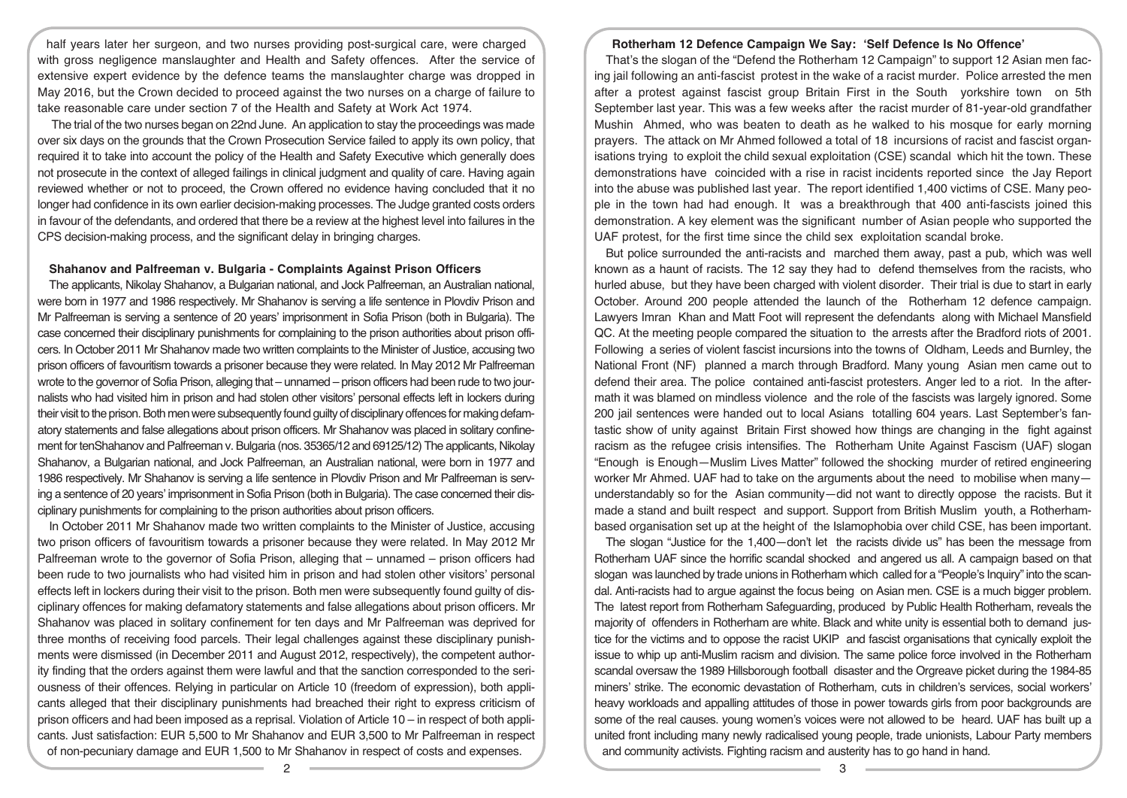half years later her surgeon, and two nurses providing post-surgical care, were charged with gross negligence manslaughter and Health and Safety offences. After the service of extensive expert evidence by the defence teams the manslaughter charge was dropped in May 2016, but the Crown decided to proceed against the two nurses on a charge of failure to take reasonable care under section 7 of the Health and Safety at Work Act 1974.

The trial of the two nurses began on 22nd June. An application to stay the proceedings was made over six days on the grounds that the Crown Prosecution Service failed to apply its own policy, that required it to take into account the policy of the Health and Safety Executive which generally does not prosecute in the context of alleged failings in clinical judgment and quality of care. Having again reviewed whether or not to proceed, the Crown offered no evidence having concluded that it no longer had confidence in its own earlier decision-making processes. The Judge granted costs orders in favour of the defendants, and ordered that there be a review at the highest level into failures in the CPS decision-making process, and the significant delay in bringing charges.

### **Shahanov and Palfreeman v. Bulgaria - Complaints Against Prison Officers**

The applicants, Nikolay Shahanov, a Bulgarian national, and Jock Palfreeman, an Australian national, were born in 1977 and 1986 respectively. Mr Shahanov is serving a life sentence in Plovdiv Prison and Mr Palfreeman is serving a sentence of 20 years' imprisonment in Sofia Prison (both in Bulgaria). The case concerned their disciplinary punishments for complaining to the prison authorities about prison officers. In October 2011 Mr Shahanov made two written complaints to the Minister of Justice, accusing two prison officers of favouritism towards a prisoner because they were related. In May 2012 Mr Palfreeman wrote to the governor of Sofia Prison, alleging that – unnamed – prison officers had been rude to two journalists who had visited him in prison and had stolen other visitors' personal effects left in lockers during their visit to the prison. Both men were subsequently found quilty of disciplinary offences for making defamatory statements and false allegations about prison officers. Mr Shahanov was placed in solitary confinement for tenShahanov and Palfreeman v. Bulgaria (nos. 35365/12 and 69125/12) The applicants, Nikolay Shahanov, a Bulgarian national, and Jock Palfreeman, an Australian national, were born in 1977 and 1986 respectively. Mr Shahanov is serving a life sentence in Plovdiv Prison and Mr Palfreeman is serving a sentence of 20 years' imprisonment in Sofia Prison (both in Bulgaria). The case concerned their disciplinary punishments for complaining to the prison authorities about prison officers.

In October 2011 Mr Shahanov made two written complaints to the Minister of Justice, accusing two prison officers of favouritism towards a prisoner because they were related. In May 2012 Mr Palfreeman wrote to the governor of Sofia Prison, alleging that – unnamed – prison officers had been rude to two journalists who had visited him in prison and had stolen other visitors' personal effects left in lockers during their visit to the prison. Both men were subsequently found guilty of disciplinary offences for making defamatory statements and false allegations about prison officers. Mr Shahanov was placed in solitary confinement for ten days and Mr Palfreeman was deprived for three months of receiving food parcels. Their legal challenges against these disciplinary punishments were dismissed (in December 2011 and August 2012, respectively), the competent authority finding that the orders against them were lawful and that the sanction corresponded to the seriousness of their offences. Relying in particular on Article 10 (freedom of expression), both applicants alleged that their disciplinary punishments had breached their right to express criticism of prison officers and had been imposed as a reprisal. Violation of Article 10 – in respect of both applicants. Just satisfaction: EUR 5,500 to Mr Shahanov and EUR 3,500 to Mr Palfreeman in respect of non-pecuniary damage and EUR 1,500 to Mr Shahanov in respect of costs and expenses.

## **Rotherham 12 Defence Campaign We Say: 'Self Defence Is No Offence'**

That's the slogan of the "Defend the Rotherham 12 Campaign" to support 12 Asian men facing jail following an anti-fascist protest in the wake of a racist murder. Police arrested the men after a protest against fascist group Britain First in the South yorkshire town on 5th September last year. This was a few weeks after the racist murder of 81-year-old grandfather Mushin Ahmed, who was beaten to death as he walked to his mosque for early morning prayers. The attack on Mr Ahmed followed a total of 18 incursions of racist and fascist organisations trying to exploit the child sexual exploitation (CSE) scandal which hit the town. These demonstrations have coincided with a rise in racist incidents reported since the Jay Report into the abuse was published last year. The report identified 1,400 victims of CSE. Many people in the town had had enough. It was a breakthrough that 400 anti-fascists joined this demonstration. A key element was the significant number of Asian people who supported the UAF protest, for the first time since the child sex exploitation scandal broke.

But police surrounded the anti-racists and marched them away, past a pub, which was well known as a haunt of racists. The 12 say they had to defend themselves from the racists, who hurled abuse, but they have been charged with violent disorder. Their trial is due to start in early October. Around 200 people attended the launch of the Rotherham 12 defence campaign. Lawyers Imran Khan and Matt Foot will represent the defendants along with Michael Mansfield QC. At the meeting people compared the situation to the arrests after the Bradford riots of 2001. Following a series of violent fascist incursions into the towns of Oldham, Leeds and Burnley, the National Front (NF) planned a march through Bradford. Many young Asian men came out to defend their area. The police contained anti-fascist protesters. Anger led to a riot. In the aftermath it was blamed on mindless violence and the role of the fascists was largely ignored. Some 200 jail sentences were handed out to local Asians totalling 604 years. Last September's fantastic show of unity against Britain First showed how things are changing in the fight against racism as the refugee crisis intensifies. The Rotherham Unite Against Fascism (UAF) slogan "Enough is Enough—Muslim Lives Matter" followed the shocking murder of retired engineering worker Mr Ahmed. UAF had to take on the arguments about the need to mobilise when many understandably so for the Asian community—did not want to directly oppose the racists. But it made a stand and built respect and support. Support from British Muslim youth, a Rotherhambased organisation set up at the height of the Islamophobia over child CSE, has been important.

The slogan "Justice for the 1,400—don't let the racists divide us" has been the message from Rotherham UAF since the horrific scandal shocked and angered us all. A campaign based on that slogan was launched by trade unions in Rotherham which called for a "People's Inquiry" into the scandal. Anti-racists had to argue against the focus being on Asian men. CSE is a much bigger problem. The latest report from Rotherham Safeguarding, produced by Public Health Rotherham, reveals the majority of offenders in Rotherham are white. Black and white unity is essential both to demand justice for the victims and to oppose the racist UKIP and fascist organisations that cynically exploit the issue to whip up anti-Muslim racism and division. The same police force involved in the Rotherham scandal oversaw the 1989 Hillsborough football disaster and the Orgreave picket during the 1984-85 miners' strike. The economic devastation of Rotherham, cuts in children's services, social workers' heavy workloads and appalling attitudes of those in power towards girls from poor backgrounds are some of the real causes. young women's voices were not allowed to be heard. UAF has built up a united front including many newly radicalised young people, trade unionists, Labour Party members and community activists. Fighting racism and austerity has to go hand in hand.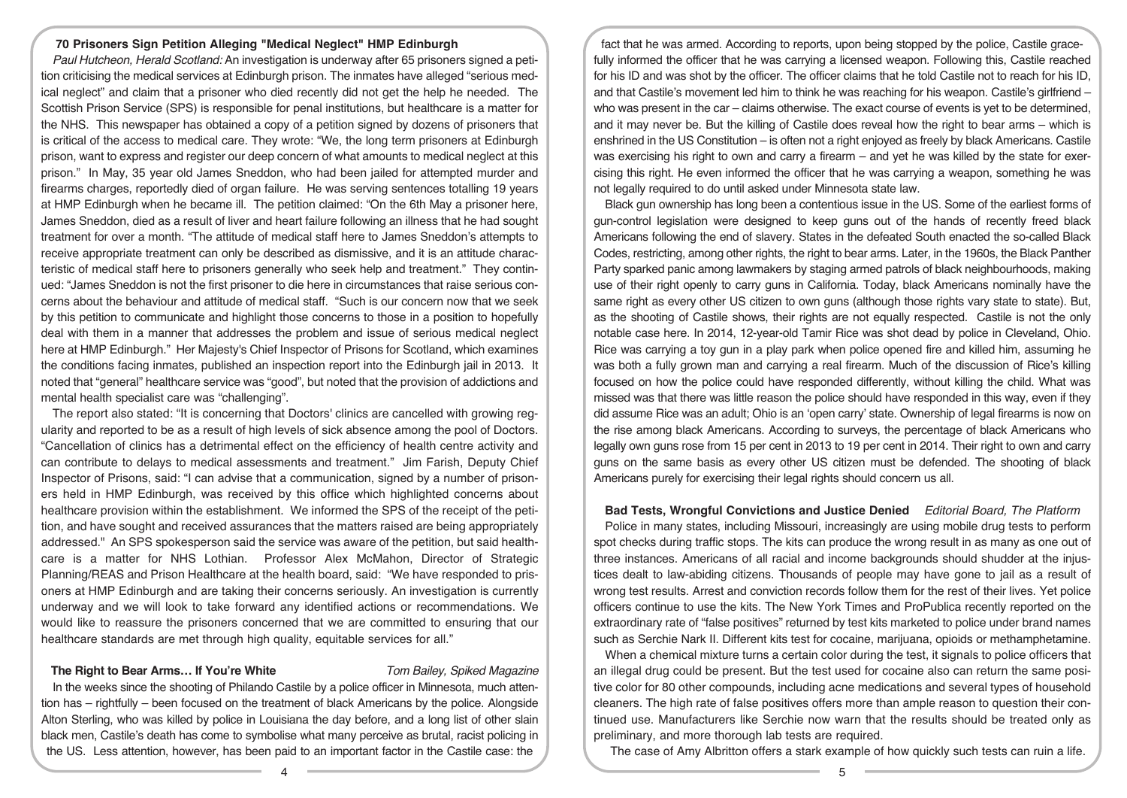## **70 Prisoners Sign Petition Alleging "Medical Neglect" HMP Edinburgh**

*Paul Hutcheon, Herald Scotland:* An investigation is underway after 65 prisoners signed a petition criticising the medical services at Edinburgh prison. The inmates have alleged "serious medical neglect" and claim that a prisoner who died recently did not get the help he needed. The Scottish Prison Service (SPS) is responsible for penal institutions, but healthcare is a matter for the NHS. This newspaper has obtained a copy of a petition signed by dozens of prisoners that is critical of the access to medical care. They wrote: "We, the long term prisoners at Edinburgh prison, want to express and register our deep concern of what amounts to medical neglect at this prison." In May, 35 year old James Sneddon, who had been jailed for attempted murder and firearms charges, reportedly died of organ failure. He was serving sentences totalling 19 years at HMP Edinburgh when he became ill. The petition claimed: "On the 6th May a prisoner here, James Sneddon, died as a result of liver and heart failure following an illness that he had sought treatment for over a month. "The attitude of medical staff here to James Sneddon's attempts to receive appropriate treatment can only be described as dismissive, and it is an attitude characteristic of medical staff here to prisoners generally who seek help and treatment." They continued: "James Sneddon is not the first prisoner to die here in circumstances that raise serious concerns about the behaviour and attitude of medical staff. "Such is our concern now that we seek by this petition to communicate and highlight those concerns to those in a position to hopefully deal with them in a manner that addresses the problem and issue of serious medical neglect here at HMP Edinburgh." Her Majesty's Chief Inspector of Prisons for Scotland, which examines the conditions facing inmates, published an inspection report into the Edinburgh jail in 2013. It noted that "general" healthcare service was "good", but noted that the provision of addictions and mental health specialist care was "challenging".

The report also stated: "It is concerning that Doctors' clinics are cancelled with growing regularity and reported to be as a result of high levels of sick absence among the pool of Doctors. "Cancellation of clinics has a detrimental effect on the efficiency of health centre activity and can contribute to delays to medical assessments and treatment." Jim Farish, Deputy Chief Inspector of Prisons, said: "I can advise that a communication, signed by a number of prisoners held in HMP Edinburgh, was received by this office which highlighted concerns about healthcare provision within the establishment. We informed the SPS of the receipt of the petition, and have sought and received assurances that the matters raised are being appropriately addressed." An SPS spokesperson said the service was aware of the petition, but said healthcare is a matter for NHS Lothian. Professor Alex McMahon, Director of Strategic Planning/REAS and Prison Healthcare at the health board, said: "We have responded to prisoners at HMP Edinburgh and are taking their concerns seriously. An investigation is currently underway and we will look to take forward any identified actions or recommendations. We would like to reassure the prisoners concerned that we are committed to ensuring that our healthcare standards are met through high quality, equitable services for all."

# **The Right to Bear Arms… If You're White** *Tom Bailey, Spiked Magazine*

In the weeks since the shooting of Philando Castile by a police officer in Minnesota, much attention has – rightfully – been focused on the treatment of black Americans by the police. Alongside Alton Sterling, who was killed by police in Louisiana the day before, and a long list of other slain black men, Castile's death has come to symbolise what many perceive as brutal, racist policing in the US. Less attention, however, has been paid to an important factor in the Castile case: the

fact that he was armed. According to reports, upon being stopped by the police, Castile gracefully informed the officer that he was carrying a licensed weapon. Following this, Castile reached for his ID and was shot by the officer. The officer claims that he told Castile not to reach for his ID, and that Castile's movement led him to think he was reaching for his weapon. Castile's girlfriend – who was present in the car – claims otherwise. The exact course of events is yet to be determined, and it may never be. But the killing of Castile does reveal how the right to bear arms – which is enshrined in the US Constitution – is often not a right enjoyed as freely by black Americans. Castile was exercising his right to own and carry a firearm – and yet he was killed by the state for exercising this right. He even informed the officer that he was carrying a weapon, something he was not legally required to do until asked under Minnesota state law.

Black gun ownership has long been a contentious issue in the US. Some of the earliest forms of gun-control legislation were designed to keep guns out of the hands of recently freed black Americans following the end of slavery. States in the defeated South enacted the so-called Black Codes, restricting, among other rights, the right to bear arms. Later, in the 1960s, the Black Panther Party sparked panic among lawmakers by staging armed patrols of black neighbourhoods, making use of their right openly to carry guns in California. Today, black Americans nominally have the same right as every other US citizen to own guns (although those rights vary state to state). But, as the shooting of Castile shows, their rights are not equally respected. Castile is not the only notable case here. In 2014, 12-year-old Tamir Rice was shot dead by police in Cleveland, Ohio. Rice was carrying a toy gun in a play park when police opened fire and killed him, assuming he was both a fully grown man and carrying a real firearm. Much of the discussion of Rice's killing focused on how the police could have responded differently, without killing the child. What was missed was that there was little reason the police should have responded in this way, even if they did assume Rice was an adult; Ohio is an 'open carry' state. Ownership of legal firearms is now on the rise among black Americans. According to surveys, the percentage of black Americans who legally own guns rose from 15 per cent in 2013 to 19 per cent in 2014. Their right to own and carry guns on the same basis as every other US citizen must be defended. The shooting of black Americans purely for exercising their legal rights should concern us all.

**Bad Tests, Wrongful Convictions and Justice Denied** *Editorial Board, The Platform* Police in many states, including Missouri, increasingly are using mobile drug tests to perform spot checks during traffic stops. The kits can produce the wrong result in as many as one out of three instances. Americans of all racial and income backgrounds should shudder at the injustices dealt to law-abiding citizens. Thousands of people may have gone to jail as a result of wrong test results. Arrest and conviction records follow them for the rest of their lives. Yet police officers continue to use the kits. The New York Times and ProPublica recently reported on the extraordinary rate of "false positives" returned by test kits marketed to police under brand names such as Serchie Nark II. Different kits test for cocaine, marijuana, opioids or methamphetamine.

When a chemical mixture turns a certain color during the test, it signals to police officers that an illegal drug could be present. But the test used for cocaine also can return the same positive color for 80 other compounds, including acne medications and several types of household cleaners. The high rate of false positives offers more than ample reason to question their continued use. Manufacturers like Serchie now warn that the results should be treated only as preliminary, and more thorough lab tests are required.

The case of Amy Albritton offers a stark example of how quickly such tests can ruin a life.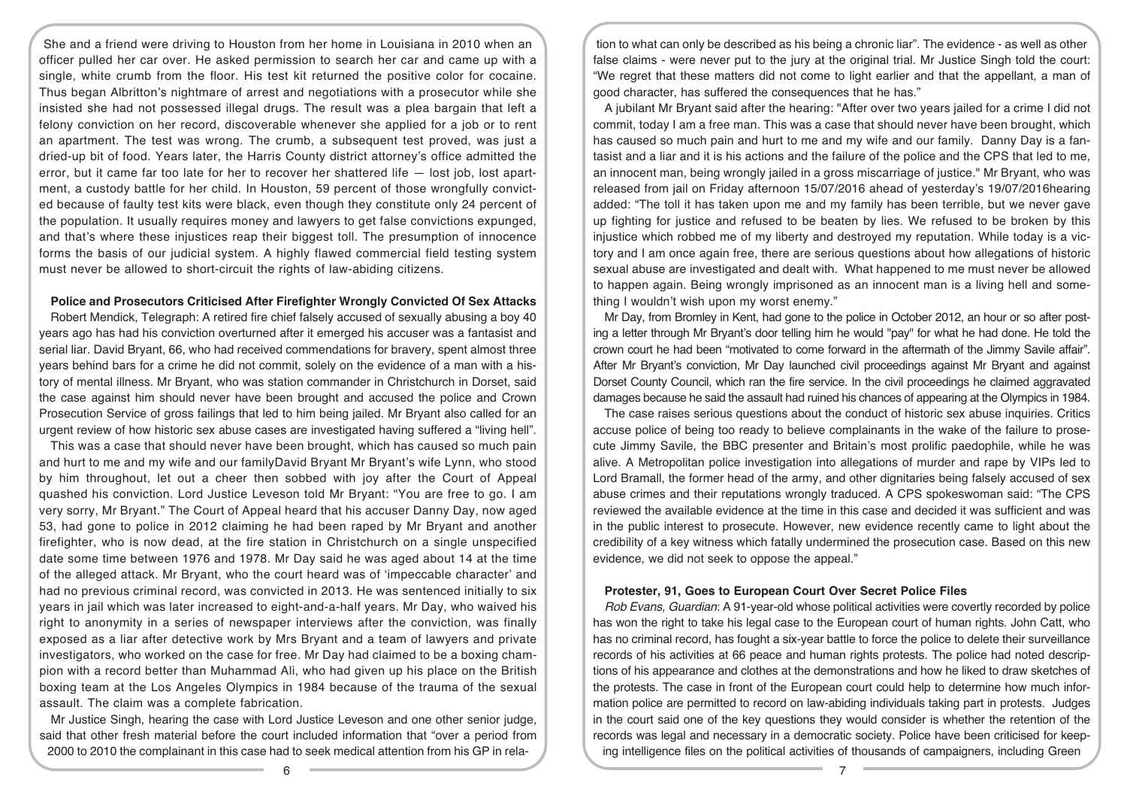She and a friend were driving to Houston from her home in Louisiana in 2010 when an officer pulled her car over. He asked permission to search her car and came up with a single, white crumb from the floor. His test kit returned the positive color for cocaine. Thus began Albritton's nightmare of arrest and negotiations with a prosecutor while she insisted she had not possessed illegal drugs. The result was a plea bargain that left a felony conviction on her record, discoverable whenever she applied for a job or to rent an apartment. The test was wrong. The crumb, a subsequent test proved, was just a dried-up bit of food. Years later, the Harris County district attorney's office admitted the error, but it came far too late for her to recover her shattered life — lost job, lost apartment, a custody battle for her child. In Houston, 59 percent of those wrongfully convicted because of faulty test kits were black, even though they constitute only 24 percent of the population. It usually requires money and lawyers to get false convictions expunged, and that's where these injustices reap their biggest toll. The presumption of innocence forms the basis of our judicial system. A highly flawed commercial field testing system must never be allowed to short-circuit the rights of law-abiding citizens.

### **Police and Prosecutors Criticised After Firefighter Wrongly Convicted Of Sex Attacks**

Robert Mendick, Telegraph: A retired fire chief falsely accused of sexually abusing a boy 40 years ago has had his conviction overturned after it emerged his accuser was a fantasist and serial liar. David Bryant, 66, who had received commendations for bravery, spent almost three years behind bars for a crime he did not commit, solely on the evidence of a man with a history of mental illness. Mr Bryant, who was station commander in Christchurch in Dorset, said the case against him should never have been brought and accused the police and Crown Prosecution Service of gross failings that led to him being jailed. Mr Bryant also called for an urgent review of how historic sex abuse cases are investigated having suffered a "living hell".

This was a case that should never have been brought, which has caused so much pain and hurt to me and my wife and our familyDavid Bryant Mr Bryant's wife Lynn, who stood by him throughout, let out a cheer then sobbed with joy after the Court of Appeal quashed his conviction. Lord Justice Leveson told Mr Bryant: "You are free to go. I am very sorry, Mr Bryant." The Court of Appeal heard that his accuser Danny Day, now aged 53, had gone to police in 2012 claiming he had been raped by Mr Bryant and another firefighter, who is now dead, at the fire station in Christchurch on a single unspecified date some time between 1976 and 1978. Mr Day said he was aged about 14 at the time of the alleged attack. Mr Bryant, who the court heard was of 'impeccable character' and had no previous criminal record, was convicted in 2013. He was sentenced initially to six years in jail which was later increased to eight-and-a-half years. Mr Day, who waived his right to anonymity in a series of newspaper interviews after the conviction, was finally exposed as a liar after detective work by Mrs Bryant and a team of lawyers and private investigators, who worked on the case for free. Mr Day had claimed to be a boxing champion with a record better than Muhammad Ali, who had given up his place on the British boxing team at the Los Angeles Olympics in 1984 because of the trauma of the sexual assault. The claim was a complete fabrication.

Mr Justice Singh, hearing the case with Lord Justice Leveson and one other senior judge, said that other fresh material before the court included information that "over a period from 2000 to 2010 the complainant in this case had to seek medical attention from his GP in rela-

tion to what can only be described as his being a chronic liar". The evidence - as well as other false claims - were never put to the jury at the original trial. Mr Justice Singh told the court: "We regret that these matters did not come to light earlier and that the appellant, a man of good character, has suffered the consequences that he has."

A jubilant Mr Bryant said after the hearing: "After over two years jailed for a crime I did not commit, today I am a free man. This was a case that should never have been brought, which has caused so much pain and hurt to me and my wife and our family. Danny Day is a fantasist and a liar and it is his actions and the failure of the police and the CPS that led to me, an innocent man, being wrongly jailed in a gross miscarriage of justice." Mr Bryant, who was released from jail on Friday afternoon 15/07/2016 ahead of yesterday's 19/07/2016hearing added: "The toll it has taken upon me and my family has been terrible, but we never gave up fighting for justice and refused to be beaten by lies. We refused to be broken by this injustice which robbed me of my liberty and destroyed my reputation. While today is a victory and I am once again free, there are serious questions about how allegations of historic sexual abuse are investigated and dealt with. What happened to me must never be allowed to happen again. Being wrongly imprisoned as an innocent man is a living hell and something I wouldn't wish upon my worst enemy."

Mr Day, from Bromley in Kent, had gone to the police in October 2012, an hour or so after posting a letter through Mr Bryant's door telling him he would "pay" for what he had done. He told the crown court he had been "motivated to come forward in the aftermath of the Jimmy Savile affair". After Mr Bryant's conviction, Mr Day launched civil proceedings against Mr Bryant and against Dorset County Council, which ran the fire service. In the civil proceedings he claimed aggravated damages because he said the assault had ruined his chances of appearing at the Olympics in 1984.

The case raises serious questions about the conduct of historic sex abuse inquiries. Critics accuse police of being too ready to believe complainants in the wake of the failure to prosecute Jimmy Savile, the BBC presenter and Britain's most prolific paedophile, while he was alive. A Metropolitan police investigation into allegations of murder and rape by VIPs led to Lord Bramall, the former head of the army, and other dignitaries being falsely accused of sex abuse crimes and their reputations wrongly traduced. A CPS spokeswoman said: "The CPS reviewed the available evidence at the time in this case and decided it was sufficient and was in the public interest to prosecute. However, new evidence recently came to light about the credibility of a key witness which fatally undermined the prosecution case. Based on this new evidence, we did not seek to oppose the appeal."

# **Protester, 91, Goes to European Court Over Secret Police Files**

*Rob Evans, Guardian*: A 91-year-old whose political activities were covertly recorded by police has won the right to take his legal case to the European court of human rights. John Catt, who has no criminal record, has fought a six-year battle to force the police to delete their surveillance records of his activities at 66 peace and human rights protests. The police had noted descriptions of his appearance and clothes at the demonstrations and how he liked to draw sketches of the protests. The case in front of the European court could help to determine how much information police are permitted to record on law-abiding individuals taking part in protests. Judges in the court said one of the key questions they would consider is whether the retention of the records was legal and necessary in a democratic society. Police have been criticised for keeping intelligence files on the political activities of thousands of campaigners, including Green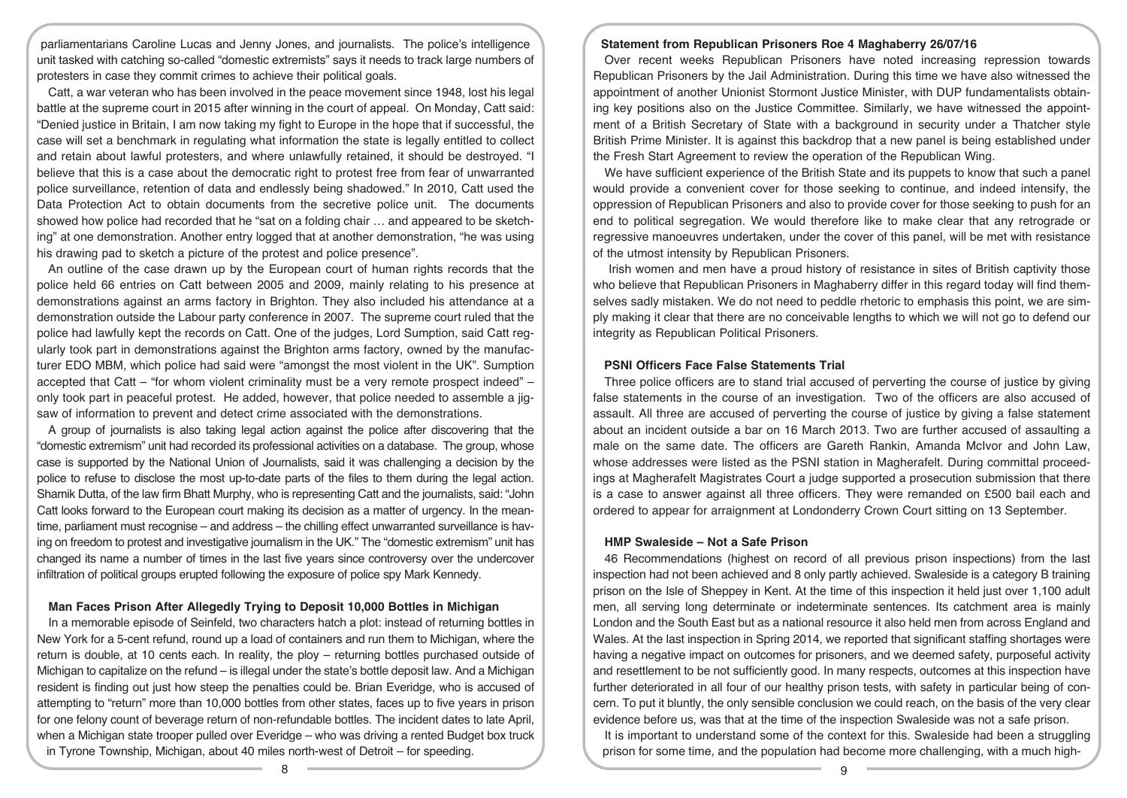parliamentarians Caroline Lucas and Jenny Jones, and journalists. The police's intelligence unit tasked with catching so-called "domestic extremists" says it needs to track large numbers of protesters in case they commit crimes to achieve their political goals.

Catt, a war veteran who has been involved in the peace movement since 1948, lost his legal battle at the supreme court in 2015 after winning in the court of appeal. On Monday, Catt said: "Denied justice in Britain, I am now taking my fight to Europe in the hope that if successful, the case will set a benchmark in regulating what information the state is legally entitled to collect and retain about lawful protesters, and where unlawfully retained, it should be destroyed. "I believe that this is a case about the democratic right to protest free from fear of unwarranted police surveillance, retention of data and endlessly being shadowed." In 2010, Catt used the Data Protection Act to obtain documents from the secretive police unit. The documents showed how police had recorded that he "sat on a folding chair … and appeared to be sketching" at one demonstration. Another entry logged that at another demonstration, "he was using his drawing pad to sketch a picture of the protest and police presence".

An outline of the case drawn up by the European court of human rights records that the police held 66 entries on Catt between 2005 and 2009, mainly relating to his presence at demonstrations against an arms factory in Brighton. They also included his attendance at a demonstration outside the Labour party conference in 2007. The supreme court ruled that the police had lawfully kept the records on Catt. One of the judges, Lord Sumption, said Catt regularly took part in demonstrations against the Brighton arms factory, owned by the manufacturer EDO MBM, which police had said were "amongst the most violent in the UK". Sumption accepted that Catt – "for whom violent criminality must be a very remote prospect indeed" – only took part in peaceful protest. He added, however, that police needed to assemble a jigsaw of information to prevent and detect crime associated with the demonstrations.

A group of journalists is also taking legal action against the police after discovering that the "domestic extremism" unit had recorded its professional activities on a database. The group, whose case is supported by the National Union of Journalists, said it was challenging a decision by the police to refuse to disclose the most up-to-date parts of the files to them during the legal action. Shamik Dutta, of the law firm Bhatt Murphy, who is representing Catt and the journalists, said: "John Catt looks forward to the European court making its decision as a matter of urgency. In the meantime, parliament must recognise – and address – the chilling effect unwarranted surveillance is having on freedom to protest and investigative journalism in the UK." The "domestic extremism" unit has changed its name a number of times in the last five years since controversy over the undercover infiltration of political groups erupted following the exposure of police spy Mark Kennedy.

### **Man Faces Prison After Allegedly Trying to Deposit 10,000 Bottles in Michigan**

In a memorable episode of Seinfeld, two characters hatch a plot: instead of returning bottles in New York for a 5-cent refund, round up a load of containers and run them to Michigan, where the return is double, at 10 cents each. In reality, the ploy – returning bottles purchased outside of Michigan to capitalize on the refund – is illegal under the state's bottle deposit law. And a Michigan resident is finding out just how steep the penalties could be. Brian Everidge, who is accused of attempting to "return" more than 10,000 bottles from other states, faces up to five years in prison for one felony count of beverage return of non-refundable bottles. The incident dates to late April, when a Michigan state trooper pulled over Everidge – who was driving a rented Budget box truck in Tyrone Township, Michigan, about 40 miles north-west of Detroit – for speeding.

### **Statement from Republican Prisoners Roe 4 Maghaberry 26/07/16**

Over recent weeks Republican Prisoners have noted increasing repression towards Republican Prisoners by the Jail Administration. During this time we have also witnessed the appointment of another Unionist Stormont Justice Minister, with DUP fundamentalists obtaining key positions also on the Justice Committee. Similarly, we have witnessed the appointment of a British Secretary of State with a background in security under a Thatcher style British Prime Minister. It is against this backdrop that a new panel is being established under the Fresh Start Agreement to review the operation of the Republican Wing.

We have sufficient experience of the British State and its puppets to know that such a panel would provide a convenient cover for those seeking to continue, and indeed intensify, the oppression of Republican Prisoners and also to provide cover for those seeking to push for an end to political segregation. We would therefore like to make clear that any retrograde or regressive manoeuvres undertaken, under the cover of this panel, will be met with resistance of the utmost intensity by Republican Prisoners.

Irish women and men have a proud history of resistance in sites of British captivity those who believe that Republican Prisoners in Maghaberry differ in this regard today will find themselves sadly mistaken. We do not need to peddle rhetoric to emphasis this point, we are simply making it clear that there are no conceivable lengths to which we will not go to defend our integrity as Republican Political Prisoners.

# **PSNI Officers Face False Statements Trial**

Three police officers are to stand trial accused of perverting the course of justice by giving false statements in the course of an investigation. Two of the officers are also accused of assault. All three are accused of perverting the course of justice by giving a false statement about an incident outside a bar on 16 March 2013. Two are further accused of assaulting a male on the same date. The officers are Gareth Rankin, Amanda McIvor and John Law, whose addresses were listed as the PSNI station in Magherafelt. During committal proceedings at Magherafelt Magistrates Court a judge supported a prosecution submission that there is a case to answer against all three officers. They were remanded on £500 bail each and ordered to appear for arraignment at Londonderry Crown Court sitting on 13 September.

# **HMP Swaleside – Not a Safe Prison**

46 Recommendations (highest on record of all previous prison inspections) from the last inspection had not been achieved and 8 only partly achieved. Swaleside is a category B training prison on the Isle of Sheppey in Kent. At the time of this inspection it held just over 1,100 adult men, all serving long determinate or indeterminate sentences. Its catchment area is mainly London and the South East but as a national resource it also held men from across England and Wales. At the last inspection in Spring 2014, we reported that significant staffing shortages were having a negative impact on outcomes for prisoners, and we deemed safety, purposeful activity and resettlement to be not sufficiently good. In many respects, outcomes at this inspection have further deteriorated in all four of our healthy prison tests, with safety in particular being of concern. To put it bluntly, the only sensible conclusion we could reach, on the basis of the very clear evidence before us, was that at the time of the inspection Swaleside was not a safe prison.

It is important to understand some of the context for this. Swaleside had been a struggling prison for some time, and the population had become more challenging, with a much high-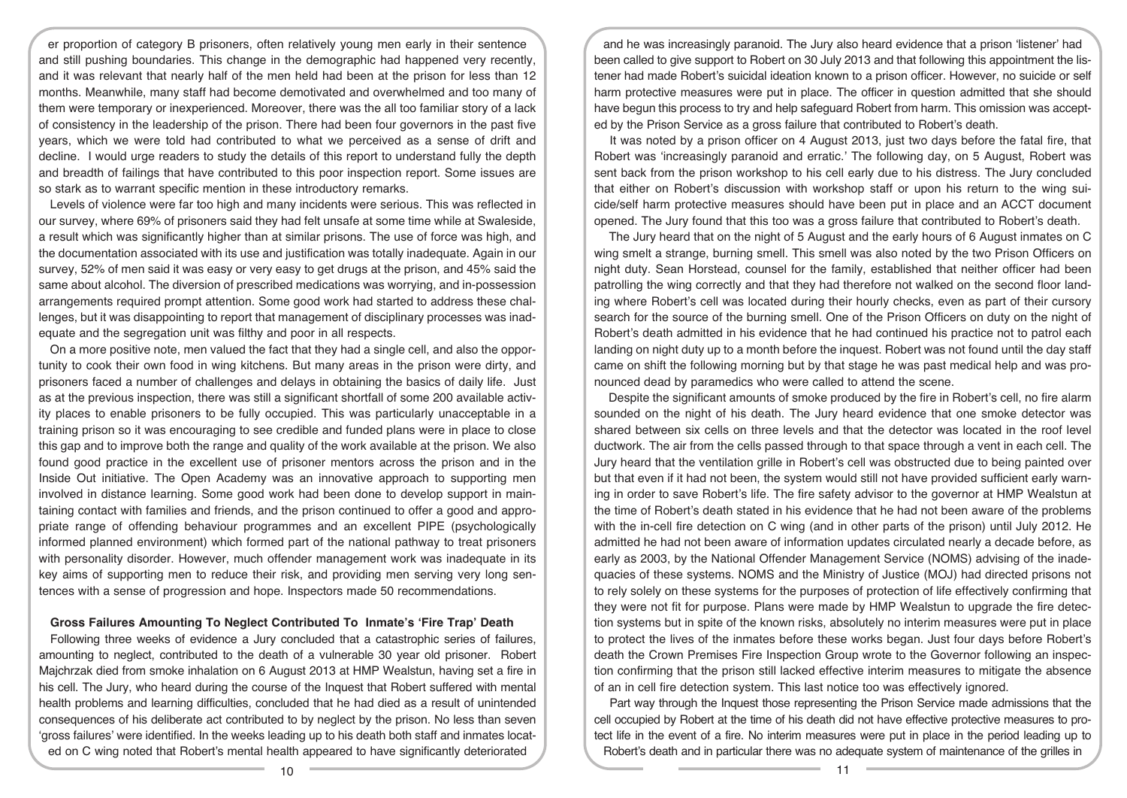er proportion of category B prisoners, often relatively young men early in their sentence and still pushing boundaries. This change in the demographic had happened very recently, and it was relevant that nearly half of the men held had been at the prison for less than 12 months. Meanwhile, many staff had become demotivated and overwhelmed and too many of them were temporary or inexperienced. Moreover, there was the all too familiar story of a lack of consistency in the leadership of the prison. There had been four governors in the past five years, which we were told had contributed to what we perceived as a sense of drift and decline. I would urge readers to study the details of this report to understand fully the depth and breadth of failings that have contributed to this poor inspection report. Some issues are so stark as to warrant specific mention in these introductory remarks.

Levels of violence were far too high and many incidents were serious. This was reflected in our survey, where 69% of prisoners said they had felt unsafe at some time while at Swaleside, a result which was significantly higher than at similar prisons. The use of force was high, and the documentation associated with its use and justification was totally inadequate. Again in our survey, 52% of men said it was easy or very easy to get drugs at the prison, and 45% said the same about alcohol. The diversion of prescribed medications was worrying, and in-possession arrangements required prompt attention. Some good work had started to address these challenges, but it was disappointing to report that management of disciplinary processes was inadequate and the segregation unit was filthy and poor in all respects.

On a more positive note, men valued the fact that they had a single cell, and also the opportunity to cook their own food in wing kitchens. But many areas in the prison were dirty, and prisoners faced a number of challenges and delays in obtaining the basics of daily life. Just as at the previous inspection, there was still a significant shortfall of some 200 available activity places to enable prisoners to be fully occupied. This was particularly unacceptable in a training prison so it was encouraging to see credible and funded plans were in place to close this gap and to improve both the range and quality of the work available at the prison. We also found good practice in the excellent use of prisoner mentors across the prison and in the Inside Out initiative. The Open Academy was an innovative approach to supporting men involved in distance learning. Some good work had been done to develop support in maintaining contact with families and friends, and the prison continued to offer a good and appropriate range of offending behaviour programmes and an excellent PIPE (psychologically informed planned environment) which formed part of the national pathway to treat prisoners with personality disorder. However, much offender management work was inadequate in its key aims of supporting men to reduce their risk, and providing men serving very long sentences with a sense of progression and hope. Inspectors made 50 recommendations.

#### **Gross Failures Amounting To Neglect Contributed To Inmate's 'Fire Trap' Death**

Following three weeks of evidence a Jury concluded that a catastrophic series of failures, amounting to neglect, contributed to the death of a vulnerable 30 year old prisoner. Robert Majchrzak died from smoke inhalation on 6 August 2013 at HMP Wealstun, having set a fire in his cell. The Jury, who heard during the course of the Inquest that Robert suffered with mental health problems and learning difficulties, concluded that he had died as a result of unintended consequences of his deliberate act contributed to by neglect by the prison. No less than seven 'gross failures' were identified. In the weeks leading up to his death both staff and inmates located on C wing noted that Robert's mental health appeared to have significantly deteriorated

and he was increasingly paranoid. The Jury also heard evidence that a prison 'listener' had been called to give support to Robert on 30 July 2013 and that following this appointment the listener had made Robert's suicidal ideation known to a prison officer. However, no suicide or self harm protective measures were put in place. The officer in question admitted that she should have begun this process to try and help safeguard Robert from harm. This omission was accepted by the Prison Service as a gross failure that contributed to Robert's death.

It was noted by a prison officer on 4 August 2013, just two days before the fatal fire, that Robert was 'increasingly paranoid and erratic.' The following day, on 5 August, Robert was sent back from the prison workshop to his cell early due to his distress. The Jury concluded that either on Robert's discussion with workshop staff or upon his return to the wing suicide/self harm protective measures should have been put in place and an ACCT document opened. The Jury found that this too was a gross failure that contributed to Robert's death.

The Jury heard that on the night of 5 August and the early hours of 6 August inmates on C wing smelt a strange, burning smell. This smell was also noted by the two Prison Officers on night duty. Sean Horstead, counsel for the family, established that neither officer had been patrolling the wing correctly and that they had therefore not walked on the second floor landing where Robert's cell was located during their hourly checks, even as part of their cursory search for the source of the burning smell. One of the Prison Officers on duty on the night of Robert's death admitted in his evidence that he had continued his practice not to patrol each landing on night duty up to a month before the inquest. Robert was not found until the day staff came on shift the following morning but by that stage he was past medical help and was pronounced dead by paramedics who were called to attend the scene.

Despite the significant amounts of smoke produced by the fire in Robert's cell, no fire alarm sounded on the night of his death. The Jury heard evidence that one smoke detector was shared between six cells on three levels and that the detector was located in the roof level ductwork. The air from the cells passed through to that space through a vent in each cell. The Jury heard that the ventilation grille in Robert's cell was obstructed due to being painted over but that even if it had not been, the system would still not have provided sufficient early warning in order to save Robert's life. The fire safety advisor to the governor at HMP Wealstun at the time of Robert's death stated in his evidence that he had not been aware of the problems with the in-cell fire detection on C wing (and in other parts of the prison) until July 2012. He admitted he had not been aware of information updates circulated nearly a decade before, as early as 2003, by the National Offender Management Service (NOMS) advising of the inadequacies of these systems. NOMS and the Ministry of Justice (MOJ) had directed prisons not to rely solely on these systems for the purposes of protection of life effectively confirming that they were not fit for purpose. Plans were made by HMP Wealstun to upgrade the fire detection systems but in spite of the known risks, absolutely no interim measures were put in place to protect the lives of the inmates before these works began. Just four days before Robert's death the Crown Premises Fire Inspection Group wrote to the Governor following an inspection confirming that the prison still lacked effective interim measures to mitigate the absence of an in cell fire detection system. This last notice too was effectively ignored.

Part way through the Inquest those representing the Prison Service made admissions that the cell occupied by Robert at the time of his death did not have effective protective measures to protect life in the event of a fire. No interim measures were put in place in the period leading up to Robert's death and in particular there was no adequate system of maintenance of the grilles in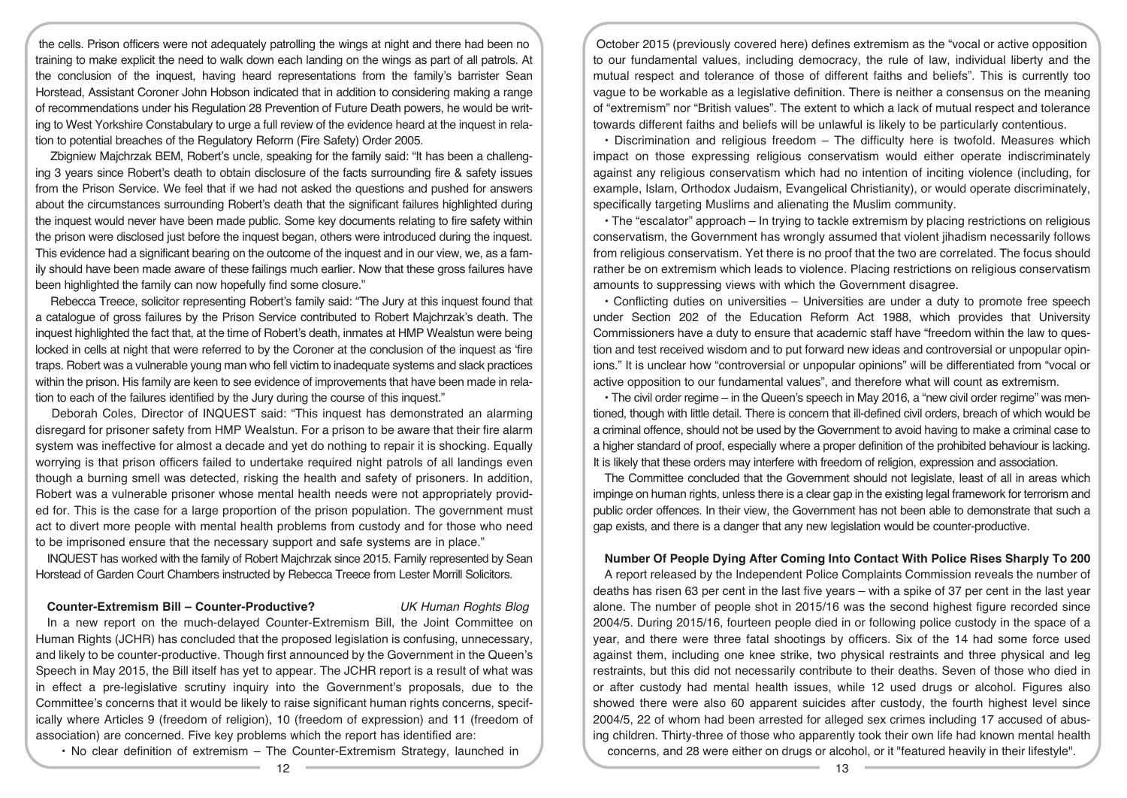the cells. Prison officers were not adequately patrolling the wings at night and there had been no training to make explicit the need to walk down each landing on the wings as part of all patrols. At the conclusion of the inquest, having heard representations from the family's barrister Sean Horstead, Assistant Coroner John Hobson indicated that in addition to considering making a range of recommendations under his Regulation 28 Prevention of Future Death powers, he would be writing to West Yorkshire Constabulary to urge a full review of the evidence heard at the inquest in relation to potential breaches of the Regulatory Reform (Fire Safety) Order 2005.

Zbigniew Majchrzak BEM, Robert's uncle, speaking for the family said: "It has been a challenging 3 years since Robert's death to obtain disclosure of the facts surrounding fire & safety issues from the Prison Service. We feel that if we had not asked the questions and pushed for answers about the circumstances surrounding Robert's death that the significant failures highlighted during the inquest would never have been made public. Some key documents relating to fire safety within the prison were disclosed just before the inquest began, others were introduced during the inquest. This evidence had a significant bearing on the outcome of the inquest and in our view, we, as a family should have been made aware of these failings much earlier. Now that these gross failures have been highlighted the family can now hopefully find some closure."

Rebecca Treece, solicitor representing Robert's family said: "The Jury at this inquest found that a catalogue of gross failures by the Prison Service contributed to Robert Majchrzak's death. The inquest highlighted the fact that, at the time of Robert's death, inmates at HMP Wealstun were being locked in cells at night that were referred to by the Coroner at the conclusion of the inquest as 'fire traps. Robert was a vulnerable young man who fell victim to inadequate systems and slack practices within the prison. His family are keen to see evidence of improvements that have been made in relation to each of the failures identified by the Jury during the course of this inquest."

Deborah Coles, Director of INQUEST said: "This inquest has demonstrated an alarming disregard for prisoner safety from HMP Wealstun. For a prison to be aware that their fire alarm system was ineffective for almost a decade and yet do nothing to repair it is shocking. Equally worrying is that prison officers failed to undertake required night patrols of all landings even though a burning smell was detected, risking the health and safety of prisoners. In addition, Robert was a vulnerable prisoner whose mental health needs were not appropriately provided for. This is the case for a large proportion of the prison population. The government must act to divert more people with mental health problems from custody and for those who need to be imprisoned ensure that the necessary support and safe systems are in place."

INQUEST has worked with the family of Robert Majchrzak since 2015. Family represented by Sean Horstead of Garden Court Chambers instructed by Rebecca Treece from Lester Morrill Solicitors.

# **Counter-Extremism Bill – Counter-Productive?** *UK Human Roghts Blog*

In a new report on the much-delayed Counter-Extremism Bill, the Joint Committee on Human Rights (JCHR) has concluded that the proposed legislation is confusing, unnecessary, and likely to be counter-productive. Though first announced by the Government in the Queen's Speech in May 2015, the Bill itself has yet to appear. The JCHR report is a result of what was in effect a pre-legislative scrutiny inquiry into the Government's proposals, due to the Committee's concerns that it would be likely to raise significant human rights concerns, specifically where Articles 9 (freedom of religion), 10 (freedom of expression) and 11 (freedom of association) are concerned. Five key problems which the report has identified are:

• No clear definition of extremism – The Counter-Extremism Strategy, launched in

October 2015 (previously covered here) defines extremism as the "vocal or active opposition to our fundamental values, including democracy, the rule of law, individual liberty and the mutual respect and tolerance of those of different faiths and beliefs". This is currently too vague to be workable as a legislative definition. There is neither a consensus on the meaning of "extremism" nor "British values". The extent to which a lack of mutual respect and tolerance towards different faiths and beliefs will be unlawful is likely to be particularly contentious.

• Discrimination and religious freedom – The difficulty here is twofold. Measures which impact on those expressing religious conservatism would either operate indiscriminately against any religious conservatism which had no intention of inciting violence (including, for example, Islam, Orthodox Judaism, Evangelical Christianity), or would operate discriminately, specifically targeting Muslims and alienating the Muslim community.

• The "escalator" approach – In trying to tackle extremism by placing restrictions on religious conservatism, the Government has wrongly assumed that violent jihadism necessarily follows from religious conservatism. Yet there is no proof that the two are correlated. The focus should rather be on extremism which leads to violence. Placing restrictions on religious conservatism amounts to suppressing views with which the Government disagree.

• Conflicting duties on universities – Universities are under a duty to promote free speech under Section 202 of the Education Reform Act 1988, which provides that University Commissioners have a duty to ensure that academic staff have "freedom within the law to question and test received wisdom and to put forward new ideas and controversial or unpopular opinions." It is unclear how "controversial or unpopular opinions" will be differentiated from "vocal or active opposition to our fundamental values", and therefore what will count as extremism.

• The civil order regime – in the Queen's speech in May 2016, a "new civil order regime" was mentioned, though with little detail. There is concern that ill-defined civil orders, breach of which would be a criminal offence, should not be used by the Government to avoid having to make a criminal case to a higher standard of proof, especially where a proper definition of the prohibited behaviour is lacking. It is likely that these orders may interfere with freedom of religion, expression and association.

The Committee concluded that the Government should not legislate, least of all in areas which impinge on human rights, unless there is a clear gap in the existing legal framework for terrorism and public order offences. In their view, the Government has not been able to demonstrate that such a gap exists, and there is a danger that any new legislation would be counter-productive.

## **Number Of People Dying After Coming Into Contact With Police Rises Sharply To 200**

A report released by the Independent Police Complaints Commission reveals the number of deaths has risen 63 per cent in the last five years – with a spike of 37 per cent in the last year alone. The number of people shot in 2015/16 was the second highest figure recorded since 2004/5. During 2015/16, fourteen people died in or following police custody in the space of a year, and there were three fatal shootings by officers. Six of the 14 had some force used against them, including one knee strike, two physical restraints and three physical and leg restraints, but this did not necessarily contribute to their deaths. Seven of those who died in or after custody had mental health issues, while 12 used drugs or alcohol. Figures also showed there were also 60 apparent suicides after custody, the fourth highest level since 2004/5, 22 of whom had been arrested for alleged sex crimes including 17 accused of abusing children. Thirty-three of those who apparently took their own life had known mental health concerns, and 28 were either on drugs or alcohol, or it "featured heavily in their lifestyle".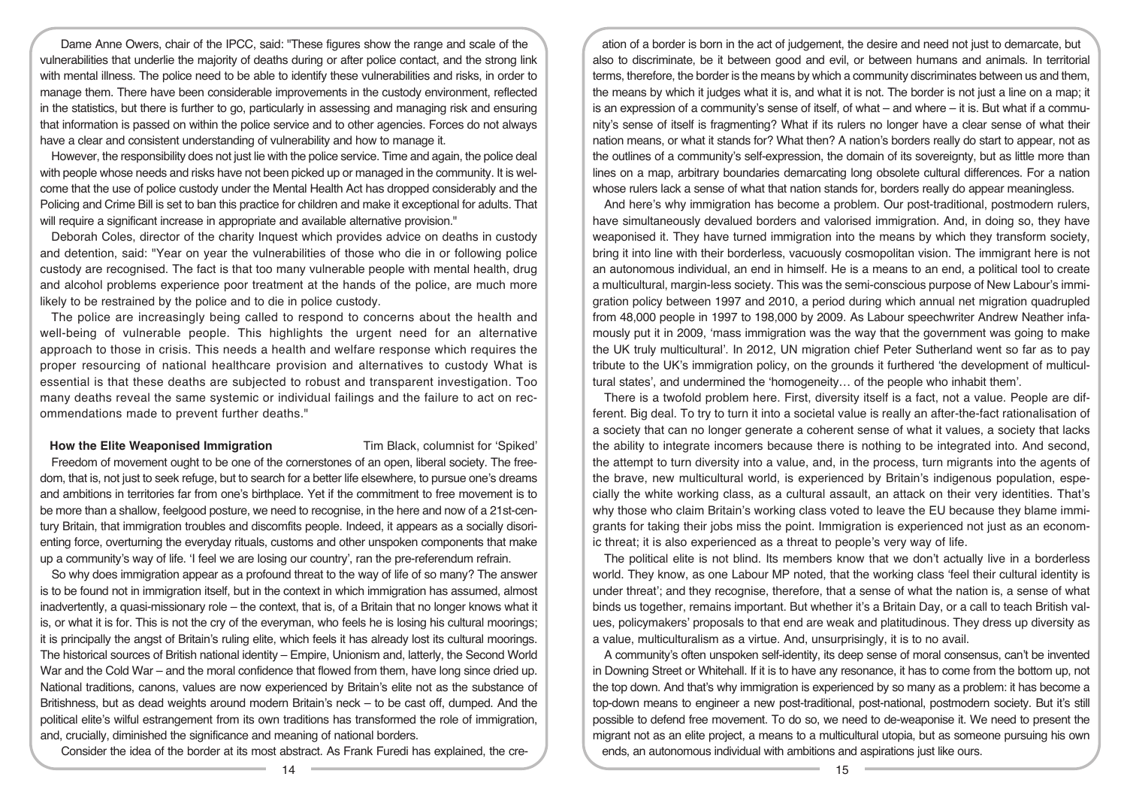Dame Anne Owers, chair of the IPCC, said: "These figures show the range and scale of the vulnerabilities that underlie the majority of deaths during or after police contact, and the strong link with mental illness. The police need to be able to identify these vulnerabilities and risks, in order to manage them. There have been considerable improvements in the custody environment, reflected in the statistics, but there is further to go, particularly in assessing and managing risk and ensuring that information is passed on within the police service and to other agencies. Forces do not always have a clear and consistent understanding of vulnerability and how to manage it.

However, the responsibility does not just lie with the police service. Time and again, the police deal with people whose needs and risks have not been picked up or managed in the community. It is welcome that the use of police custody under the Mental Health Act has dropped considerably and the Policing and Crime Bill is set to ban this practice for children and make it exceptional for adults. That will require a significant increase in appropriate and available alternative provision."

Deborah Coles, director of the charity Inquest which provides advice on deaths in custody and detention, said: "Year on year the vulnerabilities of those who die in or following police custody are recognised. The fact is that too many vulnerable people with mental health, drug and alcohol problems experience poor treatment at the hands of the police, are much more likely to be restrained by the police and to die in police custody.

The police are increasingly being called to respond to concerns about the health and well-being of vulnerable people. This highlights the urgent need for an alternative approach to those in crisis. This needs a health and welfare response which requires the proper resourcing of national healthcare provision and alternatives to custody What is essential is that these deaths are subjected to robust and transparent investigation. Too many deaths reveal the same systemic or individual failings and the failure to act on recommendations made to prevent further deaths."

### **How the Elite Weaponised Immigration Tim Black, columnist for 'Spiked'**

Freedom of movement ought to be one of the cornerstones of an open, liberal society. The freedom, that is, not just to seek refuge, but to search for a better life elsewhere, to pursue one's dreams and ambitions in territories far from one's birthplace. Yet if the commitment to free movement is to be more than a shallow, feelgood posture, we need to recognise, in the here and now of a 21st-century Britain, that immigration troubles and discomfits people. Indeed, it appears as a socially disorienting force, overturning the everyday rituals, customs and other unspoken components that make up a community's way of life. 'I feel we are losing our country', ran the pre-referendum refrain.

So why does immigration appear as a profound threat to the way of life of so many? The answer is to be found not in immigration itself, but in the context in which immigration has assumed, almost inadvertently, a quasi-missionary role – the context, that is, of a Britain that no longer knows what it is, or what it is for. This is not the cry of the everyman, who feels he is losing his cultural moorings; it is principally the angst of Britain's ruling elite, which feels it has already lost its cultural moorings. The historical sources of British national identity – Empire, Unionism and, latterly, the Second World War and the Cold War – and the moral confidence that flowed from them, have long since dried up. National traditions, canons, values are now experienced by Britain's elite not as the substance of Britishness, but as dead weights around modern Britain's neck – to be cast off, dumped. And the political elite's wilful estrangement from its own traditions has transformed the role of immigration, and, crucially, diminished the significance and meaning of national borders.

Consider the idea of the border at its most abstract. As Frank Furedi has explained, the cre-

ation of a border is born in the act of judgement, the desire and need not just to demarcate, but also to discriminate, be it between good and evil, or between humans and animals. In territorial terms, therefore, the border is the means by which a community discriminates between us and them, the means by which it judges what it is, and what it is not. The border is not just a line on a map; it is an expression of a community's sense of itself, of what – and where – it is. But what if a community's sense of itself is fragmenting? What if its rulers no longer have a clear sense of what their nation means, or what it stands for? What then? A nation's borders really do start to appear, not as the outlines of a community's self-expression, the domain of its sovereignty, but as little more than lines on a map, arbitrary boundaries demarcating long obsolete cultural differences. For a nation whose rulers lack a sense of what that nation stands for, borders really do appear meaningless.

And here's why immigration has become a problem. Our post-traditional, postmodern rulers, have simultaneously devalued borders and valorised immigration. And, in doing so, they have weaponised it. They have turned immigration into the means by which they transform society, bring it into line with their borderless, vacuously cosmopolitan vision. The immigrant here is not an autonomous individual, an end in himself. He is a means to an end, a political tool to create a multicultural, margin-less society. This was the semi-conscious purpose of New Labour's immigration policy between 1997 and 2010, a period during which annual net migration quadrupled from 48,000 people in 1997 to 198,000 by 2009. As Labour speechwriter Andrew Neather infamously put it in 2009, 'mass immigration was the way that the government was going to make the UK truly multicultural'. In 2012, UN migration chief Peter Sutherland went so far as to pay tribute to the UK's immigration policy, on the grounds it furthered 'the development of multicultural states', and undermined the 'homogeneity… of the people who inhabit them'.

There is a twofold problem here. First, diversity itself is a fact, not a value. People are different. Big deal. To try to turn it into a societal value is really an after-the-fact rationalisation of a society that can no longer generate a coherent sense of what it values, a society that lacks the ability to integrate incomers because there is nothing to be integrated into. And second, the attempt to turn diversity into a value, and, in the process, turn migrants into the agents of the brave, new multicultural world, is experienced by Britain's indigenous population, especially the white working class, as a cultural assault, an attack on their very identities. That's why those who claim Britain's working class voted to leave the EU because they blame immigrants for taking their jobs miss the point. Immigration is experienced not just as an economic threat; it is also experienced as a threat to people's very way of life.

The political elite is not blind. Its members know that we don't actually live in a borderless world. They know, as one Labour MP noted, that the working class 'feel their cultural identity is under threat'; and they recognise, therefore, that a sense of what the nation is, a sense of what binds us together, remains important. But whether it's a Britain Day, or a call to teach British values, policymakers' proposals to that end are weak and platitudinous. They dress up diversity as a value, multiculturalism as a virtue. And, unsurprisingly, it is to no avail.

A community's often unspoken self-identity, its deep sense of moral consensus, can't be invented in Downing Street or Whitehall. If it is to have any resonance, it has to come from the bottom up, not the top down. And that's why immigration is experienced by so many as a problem: it has become a top-down means to engineer a new post-traditional, post-national, postmodern society. But it's still possible to defend free movement. To do so, we need to de-weaponise it. We need to present the migrant not as an elite project, a means to a multicultural utopia, but as someone pursuing his own ends, an autonomous individual with ambitions and aspirations just like ours.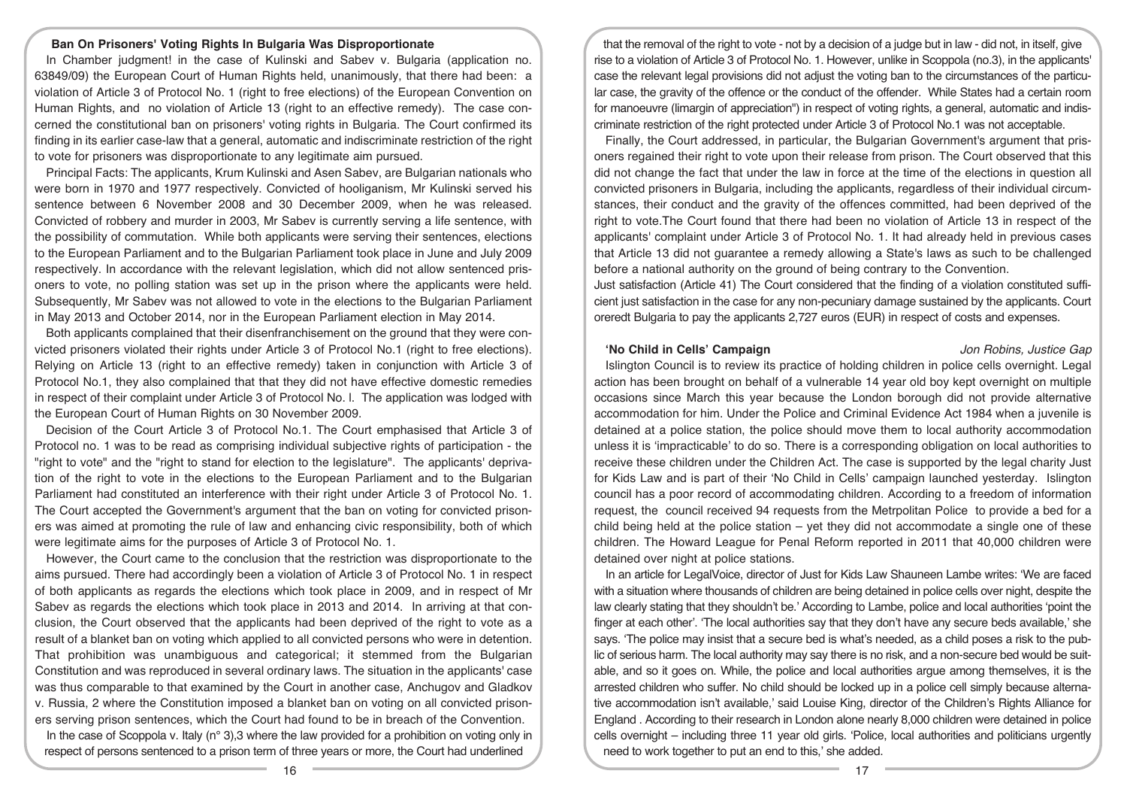#### **Ban On Prisoners' Voting Rights In Bulgaria Was Disproportionate**

In Chamber judgment! in the case of Kulinski and Sabev v. Bulgaria (application no. 63849/09) the European Court of Human Rights held, unanimously, that there had been: a violation of Article 3 of Protocol No. 1 (right to free elections) of the European Convention on Human Rights, and no violation of Article 13 (right to an effective remedy). The case concerned the constitutional ban on prisoners' voting rights in Bulgaria. The Court confirmed its finding in its earlier case-law that a general, automatic and indiscriminate restriction of the right to vote for prisoners was disproportionate to any legitimate aim pursued.

Principal Facts: The applicants, Krum Kulinski and Asen Sabev, are Bulgarian nationals who were born in 1970 and 1977 respectively. Convicted of hooliganism, Mr Kulinski served his sentence between 6 November 2008 and 30 December 2009, when he was released. Convicted of robbery and murder in 2003, Mr Sabev is currently serving a life sentence, with the possibility of commutation. While both applicants were serving their sentences, elections to the European Parliament and to the Bulgarian Parliament took place in June and July 2009 respectively. In accordance with the relevant legislation, which did not allow sentenced prisoners to vote, no polling station was set up in the prison where the applicants were held. Subsequently, Mr Sabev was not allowed to vote in the elections to the Bulgarian Parliament in May 2013 and October 2014, nor in the European Parliament election in May 2014.

Both applicants complained that their disenfranchisement on the ground that they were convicted prisoners violated their rights under Article 3 of Protocol No.1 (right to free elections). Relying on Article 13 (right to an effective remedy) taken in conjunction with Article 3 of Protocol No.1, they also complained that that they did not have effective domestic remedies in respect of their complaint under Article 3 of Protocol No. l. The application was lodged with the European Court of Human Rights on 30 November 2009.

Decision of the Court Article 3 of Protocol No.1. The Court emphasised that Article 3 of Protocol no. 1 was to be read as comprising individual subjective rights of participation - the "right to vote" and the "right to stand for election to the legislature". The applicants' deprivation of the right to vote in the elections to the European Parliament and to the Bulgarian Parliament had constituted an interference with their right under Article 3 of Protocol No. 1. The Court accepted the Government's argument that the ban on voting for convicted prisoners was aimed at promoting the rule of law and enhancing civic responsibility, both of which were legitimate aims for the purposes of Article 3 of Protocol No. 1.

However, the Court came to the conclusion that the restriction was disproportionate to the aims pursued. There had accordingly been a violation of Article 3 of Protocol No. 1 in respect of both applicants as regards the elections which took place in 2009, and in respect of Mr Sabev as regards the elections which took place in 2013 and 2014. In arriving at that conclusion, the Court observed that the applicants had been deprived of the right to vote as a result of a blanket ban on voting which applied to all convicted persons who were in detention. That prohibition was unambiguous and categorical; it stemmed from the Bulgarian Constitution and was reproduced in several ordinary laws. The situation in the applicants' case was thus comparable to that examined by the Court in another case, Anchugov and Gladkov v. Russia, 2 where the Constitution imposed a blanket ban on voting on all convicted prisoners serving prison sentences, which the Court had found to be in breach of the Convention.

In the case of Scoppola v. Italy (n° 3),3 where the law provided for a prohibition on voting only in respect of persons sentenced to a prison term of three years or more, the Court had underlined

that the removal of the right to vote - not by a decision of a judge but in law - did not, in itself, give rise to a violation of Article 3 of Protocol No. 1. However, unlike in Scoppola (no.3), in the applicants' case the relevant legal provisions did not adjust the voting ban to the circumstances of the particular case, the gravity of the offence or the conduct of the offender. While States had a certain room for manoeuvre (limargin of appreciation") in respect of voting rights, a general, automatic and indiscriminate restriction of the right protected under Article 3 of Protocol No.1 was not acceptable.

Finally, the Court addressed, in particular, the Bulgarian Government's argument that prisoners regained their right to vote upon their release from prison. The Court observed that this did not change the fact that under the law in force at the time of the elections in question all convicted prisoners in Bulgaria, including the applicants, regardless of their individual circumstances, their conduct and the gravity of the offences committed, had been deprived of the right to vote.The Court found that there had been no violation of Article 13 in respect of the applicants' complaint under Article 3 of Protocol No. 1. It had already held in previous cases that Article 13 did not guarantee a remedy allowing a State's laws as such to be challenged before a national authority on the ground of being contrary to the Convention.

Just satisfaction (Article 41) The Court considered that the finding of a violation constituted sufficient just satisfaction in the case for any non-pecuniary damage sustained by the applicants. Court oreredt Bulgaria to pay the applicants 2,727 euros (EUR) in respect of costs and expenses.

## **'No Child in Cells' Campaign** *Jon Robins, Justice Gap*

Islington Council is to review its practice of holding children in police cells overnight. Legal action has been brought on behalf of a vulnerable 14 year old boy kept overnight on multiple occasions since March this year because the London borough did not provide alternative accommodation for him. Under the Police and Criminal Evidence Act 1984 when a juvenile is detained at a police station, the police should move them to local authority accommodation unless it is 'impracticable' to do so. There is a corresponding obligation on local authorities to receive these children under the Children Act. The case is supported by the legal charity Just for Kids Law and is part of their 'No Child in Cells' campaign launched yesterday. Islington council has a poor record of accommodating children. According to a freedom of information request, the council received 94 requests from the Metrpolitan Police to provide a bed for a child being held at the police station – yet they did not accommodate a single one of these children. The Howard League for Penal Reform reported in 2011 that 40,000 children were detained over night at police stations.

In an article for LegalVoice, director of Just for Kids Law Shauneen Lambe writes: 'We are faced with a situation where thousands of children are being detained in police cells over night, despite the law clearly stating that they shouldn't be.' According to Lambe, police and local authorities 'point the finger at each other'. 'The local authorities say that they don't have any secure beds available,' she says. 'The police may insist that a secure bed is what's needed, as a child poses a risk to the public of serious harm. The local authority may say there is no risk, and a non-secure bed would be suitable, and so it goes on. While, the police and local authorities argue among themselves, it is the arrested children who suffer. No child should be locked up in a police cell simply because alternative accommodation isn't available,' said Louise King, director of the Children's Rights Alliance for England . According to their research in London alone nearly 8,000 children were detained in police cells overnight – including three 11 year old girls. 'Police, local authorities and politicians urgently need to work together to put an end to this,' she added.